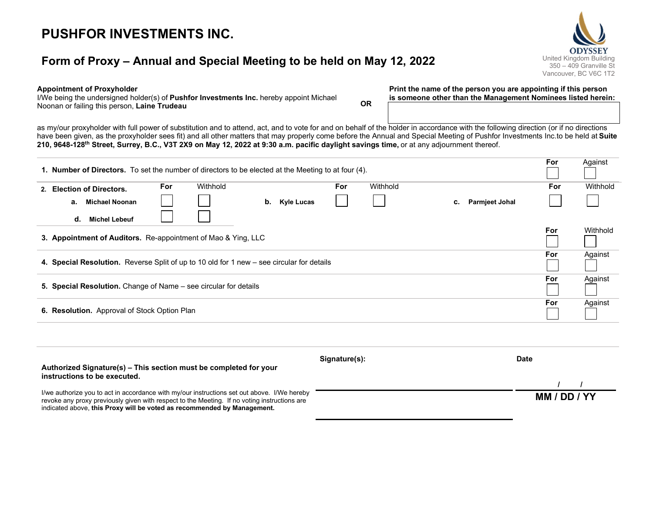# PUSHFOR INVESTMENTS INC.

## Form of Proxy – Annual and Special Meeting to be held on May 12, 2022 United Kingdom Building



#### Appointment of Proxyholder

I/We being the undersigned holder(s) of **Pushfor Investments Inc.** hereby appoint Michael Noonan or failing this person, Laine Trudeau Noonan or failing this person, Laine Trudeau Print the name of the person you are appointing if this person is someone other than the Management Nominees listed herein:

as my/our proxyholder with full power of substitution and to attend, act, and to vote for and on behalf of the holder in accordance with the following direction (or if no directions have been given, as the proxyholder sees fit) and all other matters that may properly come before the Annual and Special Meeting of Pushfor Investments Inc.to be held at Suite 210, 9648-128th Street, Surrey, B.C., V3T 2X9 on May 12, 2022 at 9:30 a.m. pacific daylight savings time, or at any adjournment thereof.

|                                                                                           | 1. Number of Directors. To set the number of directors to be elected at the Meeting to at four (4). |            |          |    |            |            |          |            |                       | For     | Against  |
|-------------------------------------------------------------------------------------------|-----------------------------------------------------------------------------------------------------|------------|----------|----|------------|------------|----------|------------|-----------------------|---------|----------|
|                                                                                           | 2. Election of Directors.                                                                           | <b>For</b> | Withhold |    |            | <b>For</b> | Withhold |            |                       | For     | Withhold |
|                                                                                           | Michael Noonan<br>а.                                                                                |            |          | b. | Kyle Lucas |            |          | c.         | <b>Parmjeet Johal</b> |         |          |
|                                                                                           | <b>Michel Lebeuf</b><br>d.                                                                          |            |          |    |            |            |          |            |                       |         |          |
| 3. Appointment of Auditors. Re-appointment of Mao & Ying, LLC                             |                                                                                                     |            |          |    |            |            |          | <b>For</b> | Withhold              |         |          |
| 4. Special Resolution. Reverse Split of up to 10 old for 1 new - see circular for details |                                                                                                     |            |          |    |            |            |          |            | For                   | Against |          |
| 5. Special Resolution. Change of Name – see circular for details                          |                                                                                                     |            |          |    |            |            |          |            | For                   | Against |          |
| 6. Resolution. Approval of Stock Option Plan                                              |                                                                                                     |            |          |    |            |            |          |            |                       | For     | Against  |
|                                                                                           |                                                                                                     |            |          |    |            |            |          |            |                       |         |          |
|                                                                                           |                                                                                                     |            |          |    |            |            |          |            |                       |         |          |

| Authorized Signature(s) – This section must be completed for your<br>instructions to be executed.                                                                                           | Signature(s): | Date         |  |  |
|---------------------------------------------------------------------------------------------------------------------------------------------------------------------------------------------|---------------|--------------|--|--|
|                                                                                                                                                                                             |               |              |  |  |
| I/we authorize you to act in accordance with my/our instructions set out above. I/We hereby<br>revoke any proxy previously given with respect to the Meeting. If no voting instructions are |               | MM / DD / YY |  |  |
| indicated above, this Proxy will be voted as recommended by Management.                                                                                                                     |               |              |  |  |